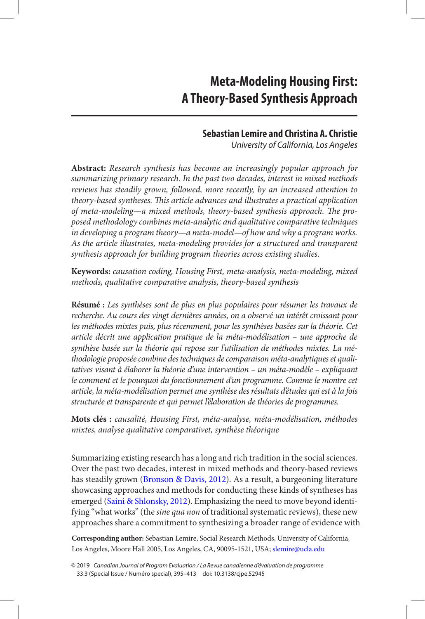# **Sebastian Lemire and Christina A. Christie**

*University of California, Los Angeles* 

<span id="page-0-0"></span>**Abstract:** *Research synthesis has become an increasingly popular approach for summarizing primary research. In the past two decades, interest in mixed methods reviews has steadily grown, followed, more recently, by an increased attention to theory-based syntheses. This article advances and illustrates a practical application of meta-modeling—a mixed methods, theory-based synthesis approach. The proposed methodology combines meta-analytic and qualitative comparative techniques in developing a program theory—a meta-model—of how and why a program works. As the article illustrates, meta-modeling provides for a structured and transparent synthesis approach for building program theories across existing studies.* 

**Keywords:** *causation coding, Housing First, meta-analysis, meta-modeling, mixed methods, qualitative comparative analysis, theory-based synthesis* 

**Résumé :** *Les synthèses sont de plus en plus populaires pour résumer les travaux de recherche. Au cours des vingt dernières années, on a observé un intérêt croissant pour les méthodes mixtes puis, plus récemment, pour les synthèses basées sur la théorie. Cet article décrit une application pratique de la méta-modélisation – une approche de synthèse basée sur la théorie qui repose sur l'utilisation de méthodes mixtes. La méthodologie proposée combine des techniques de comparaison méta-analytiques et qualitatives visant à élaborer la théorie d'une intervention – un méta-modèle – expliquant le comment et le pourquoi du fonctionnement d'un programme. Comme le montre cet article, la méta-modélisation permet une synthèse des résultats d'études qui est à la fois structurée et transparente et qui permet l'élaboration de théories de programmes.* 

**Mots clés :** *causalité, Housing First, méta-analyse, méta-modélisation, méthodes mixtes, analyse qualitative comparativet, synthèse théorique* 

Summarizing existing research has a long and rich tradition in the social sciences. Over the past two decades, interest in mixed methods and theory-based reviews has steadily grown ([Bronson & Davis, 2012](#page-16-0)). As a result, a burgeoning literature showcasing approaches and methods for conducting these kinds of syntheses has emerged ([Saini & Shlonsky, 2012](#page-17-0)). Emphasizing the need to move beyond identifying "what works" (the *sine qua non* of traditional systematic reviews), these new approaches share a commitment to synthesizing a broader range of evidence with

**Corresponding author:** Sebastian Lemire, Social Research Methods, University of California, Los Angeles, Moore Hall 2005, Los Angeles, CA, 90095-1521, USA; [slemire@ucla.edu](mailto:slemire@ucla.edu) 

<sup>© 2019</sup> *Canadian Journal of Program Evaluation / La Revue canadienne d'évaluation de programme*  33.3 (Special Issue / Numéro special), 395–413 doi: 10.3138/cjpe.52945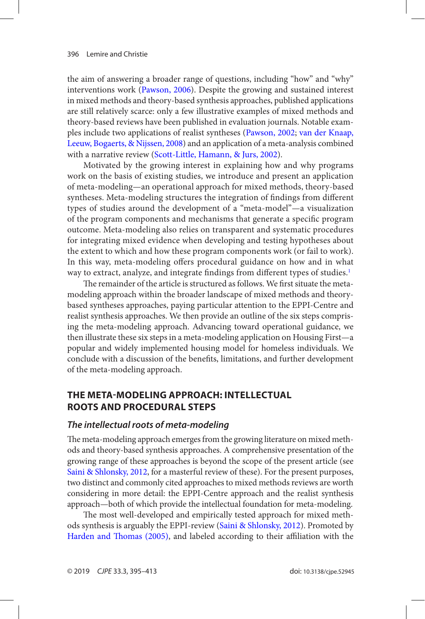<span id="page-1-0"></span>the aim of answering a broader range of questions, including "how" and "why" interventions work ([Pawson, 2006](#page-17-0)). Despite the growing and sustained interest in mixed methods and theory-based synthesis approaches, published applications are still relatively scarce: only a few illustrative examples of mixed methods and theory-based reviews have been published in evaluation journals. Notable examples include two applications of realist syntheses ([Pawson, 2002](#page-17-0); [van der Knaap,](#page-17-0)  [Leeuw, Bogaerts, & Nijssen, 2008](#page-17-0)) and an application of a meta-analysis combined with a narrative review ([Scott-Little, Hamann, & Jurs, 2002](#page-17-0)).

Motivated by the growing interest in explaining how and why programs work on the basis of existing studies, we introduce and present an application of meta-modeling—an operational approach for mixed methods, theory-based syntheses. Meta-modeling structures the integration of findings from different types of studies around the development of a "meta-model"—a visualization of the program components and mechanisms that generate a specific program outcome. Meta-modeling also relies on transparent and systematic procedures for integrating mixed evidence when developing and testing hypotheses about the extent to which and how these program components work (or fail to work). In this way, meta-modeling offers procedural guidance on how and in what way to extract, analyze, and integrate findings from different types of studies.<sup>[1](#page-15-0)</sup>

The remainder of the article is structured as follows. We first situate the metamodeling approach within the broader landscape of mixed methods and theorybased syntheses approaches, paying particular attention to the EPPI-Centre and realist synthesis approaches. We then provide an outline of the six steps comprising the meta-modeling approach. Advancing toward operational guidance, we then illustrate these six steps in a meta-modeling application on Housing First—a popular and widely implemented housing model for homeless individuals. We conclude with a discussion of the benefits, limitations, and further development of the meta-modeling approach.

## **The meTa-modeling approach: inTellecTual rooTs and procedural sTeps**

### *The intellectual roots of meta-modeling*

The meta-modeling approach emerges from the growing literature on mixed methods and theory-based synthesis approaches. A comprehensive presentation of the growing range of these approaches is beyond the scope of the present article (see [Saini & Shlonsky, 2012](#page-17-0), for a masterful review of these). For the present purposes, two distinct and commonly cited approaches to mixed methods reviews are worth considering in more detail: the EPPI-Centre approach and the realist synthesis approach—both of which provide the intellectual foundation for meta-modeling.

The most well-developed and empirically tested approach for mixed methods synthesis is arguably the EPPI-review ([Saini & Shlonsky, 2012](#page-17-0)). Promoted by [Harden and Thomas \(2005\)](#page-16-0), and labeled according to their affiliation with the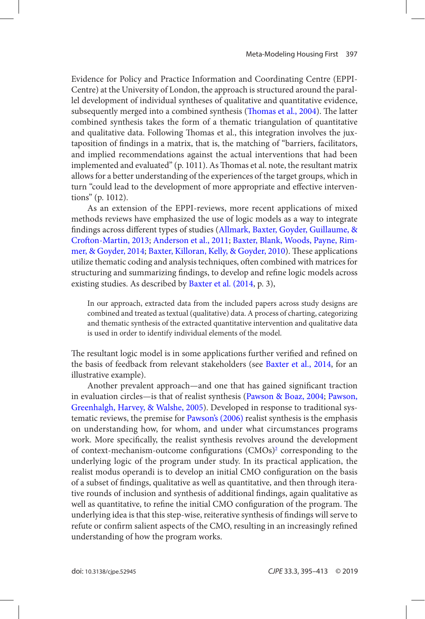<span id="page-2-0"></span>Evidence for Policy and Practice Information and Coordinating Centre (EPPI-Centre) at the University of London, the approach is structured around the parallel development of individual syntheses of qualitative and quantitative evidence, subsequently merged into a combined synthesis ([Thomas et al., 2004](#page-17-0)). The latter combined synthesis takes the form of a thematic triangulation of quantitative and qualitative data. Following Thomas et al., this integration involves the juxtaposition of findings in a matrix, that is, the matching of "barriers, facilitators, and implied recommendations against the actual interventions that had been implemented and evaluated" (p. 1011). As Thomas et al. note, the resultant matrix allows for a better understanding of the experiences of the target groups, which in turn "could lead to the development of more appropriate and effective interventions" (p. 1012).

As an extension of the EPPI-reviews, more recent applications of mixed methods reviews have emphasized the use of logic models as a way to integrate findings across different types of studies ([Allmark, Baxter, Goyder, Guillaume, &](#page-16-0) [Crofton-Martin, 2013; Anderson et al., 2011](#page-16-0); [Baxter, Blank, Woods, Payne, Rim](#page-16-0)[mer, & Goyder, 2014](#page-16-0); [Baxter, Killoran, Kelly, & Goyder, 2010](#page-16-0)). These applications utilize thematic coding and analysis techniques, often combined with matrices for structuring and summarizing findings, to develop and refine logic models across existing studies. As described by [Baxter et al. \(2014,](#page-16-0) p. 3),

In our approach, extracted data from the included papers across study designs are combined and treated as textual (qualitative) data. A process of charting, categorizing and thematic synthesis of the extracted quantitative intervention and qualitative data is used in order to identify individual elements of the model.

The resultant logic model is in some applications further verified and refined on the basis of feedback from relevant stakeholders (see [Baxter et al., 2014](#page-16-0), for an illustrative example).

Another prevalent approach—and one that has gained significant traction in evaluation circles—is that of realist synthesis ([Pawson & Boaz, 2004](#page-17-0); [Pawson,](#page-17-0)  [Greenhalgh, Harvey, & Walshe, 2005](#page-17-0)). Developed in response to traditional systematic reviews, the premise for [Pawson's \(2006\)](#page-17-0) realist synthesis is the emphasis on understanding how, for whom, and under what circumstances programs work. More specifically, the realist synthesis revolves around the development of context-mechanism-outcome configurations (CMOs)<sup>2</sup> corresponding to the underlying logic of the program under study. In its practical application, the realist modus operandi is to develop an initial CMO configuration on the basis of a subset of findings, qualitative as well as quantitative, and then through iterative rounds of inclusion and synthesis of additional findings, again qualitative as well as quantitative, to refine the initial CMO configuration of the program. The underlying idea is that this step-wise, reiterative synthesis of findings will serve to refute or confirm salient aspects of the CMO, resulting in an increasingly refined understanding of how the program works.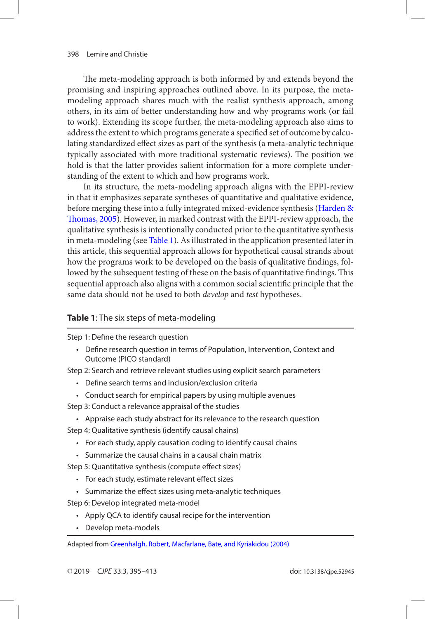<span id="page-3-0"></span>The meta-modeling approach is both informed by and extends beyond the promising and inspiring approaches outlined above. In its purpose, the metamodeling approach shares much with the realist synthesis approach, among others, in its aim of better understanding how and why programs work (or fail to work). Extending its scope further, the meta-modeling approach also aims to address the extent to which programs generate a specified set of outcome by calculating standardized effect sizes as part of the synthesis (a meta-analytic technique typically associated with more traditional systematic reviews). The position we hold is that the latter provides salient information for a more complete understanding of the extent to which and how programs work.

In its structure, the meta-modeling approach aligns with the EPPI-review in that it emphasizes separate syntheses of quantitative and qualitative evidence, before merging these into a fully integrated mixed-evidence synthesis ([Harden &](#page-16-0) [Thomas, 2005\)](#page-16-0). However, in marked contrast with the EPPI-review approach, the qualitative synthesis is intentionally conducted prior to the quantitative synthesis in meta-modeling (see Table 1). As illustrated in the application presented later in this article, this sequential approach allows for hypothetical causal strands about how the programs work to be developed on the basis of qualitative findings, followed by the subsequent testing of these on the basis of quantitative findings. This sequential approach also aligns with a common social scientific principle that the same data should not be used to both *develop* and *test* hypotheses.

### **Table 1**: The six steps of meta-modeling

Step 1: Define the research question

• Define research question in terms of Population, Intervention, Context and Outcome (PICO standard)

Step 2: Search and retrieve relevant studies using explicit search parameters

- Define search terms and inclusion/exclusion criteria
- Conduct search for empirical papers by using multiple avenues
- Step 3: Conduct a relevance appraisal of the studies
	- Appraise each study abstract for its relevance to the research question

Step 4: Qualitative synthesis (identify causal chains)

- For each study, apply causation coding to identify causal chains
- Summarize the causal chains in a causal chain matrix

Step 5: Quantitative synthesis (compute effect sizes)

- For each study, estimate relevant effect sizes
- Summarize the effect sizes using meta-analytic techniques

Step 6: Develop integrated meta-model

- Apply QCA to identify causal recipe for the intervention
- Develop meta-models

Adapted from [Greenhalgh, Robert, Macfarlane, Bate, and Kyriakidou \(2004\)](#page-16-0)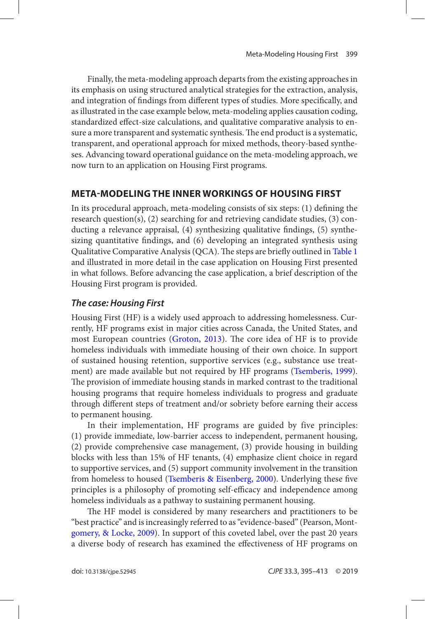<span id="page-4-0"></span>Finally, the meta-modeling approach departs from the existing approaches in its emphasis on using structured analytical strategies for the extraction, analysis, and integration of findings from different types of studies. More specifically, and as illustrated in the case example below, meta-modeling applies causation coding, standardized effect-size calculations, and qualitative comparative analysis to ensure a more transparent and systematic synthesis. The end product is a systematic, transparent, and operational approach for mixed methods, theory-based syntheses. Advancing toward operational guidance on the meta-modeling approach, we now turn to an application on Housing First programs.

# **meTa-modeling The inner workings of housing firsT**

In its procedural approach, meta-modeling consists of six steps: (1) defining the research question(s), (2) searching for and retrieving candidate studies, (3) conducting a relevance appraisal, (4) synthesizing qualitative findings, (5) synthesizing quantitative findings, and (6) developing an integrated synthesis using Qualitative Comparative Analysis (QCA). The steps are briefly outlined in [Table 1](#page-3-0) and illustrated in more detail in the case application on Housing First presented in what follows. Before advancing the case application, a brief description of the Housing First program is provided.

# *The case: Housing First*

Housing First (HF) is a widely used approach to addressing homelessness. Currently, HF programs exist in major cities across Canada, the United States, and most European countries ([Groton, 2013](#page-16-0)). The core idea of HF is to provide homeless individuals with immediate housing of their own choice. In support of sustained housing retention, supportive services (e.g., substance use treat-ment) are made available but not required by HF programs ([Tsemberis, 1999](#page-17-0)). The provision of immediate housing stands in marked contrast to the traditional housing programs that require homeless individuals to progress and graduate through different steps of treatment and/or sobriety before earning their access to permanent housing.

In their implementation, HF programs are guided by five principles: (1) provide immediate, low-barrier access to independent, permanent housing, (2) provide comprehensive case management, (3) provide housing in building blocks with less than 15% of HF tenants, (4) emphasize client choice in regard to supportive services, and (5) support community involvement in the transition from homeless to housed ([Tsemberis & Eisenberg, 2000\)](#page-17-0). Underlying these five principles is a philosophy of promoting self-efficacy and independence among homeless individuals as a pathway to sustaining permanent housing.

The HF model is considered by many researchers and practitioners to be "best practice" and is increasingly referred to as "evidence-based" (Pearson, Mont[gomery, & Locke, 2009](#page-17-0)). In support of this coveted label, over the past 20 years a diverse body of research has examined the effectiveness of HF programs on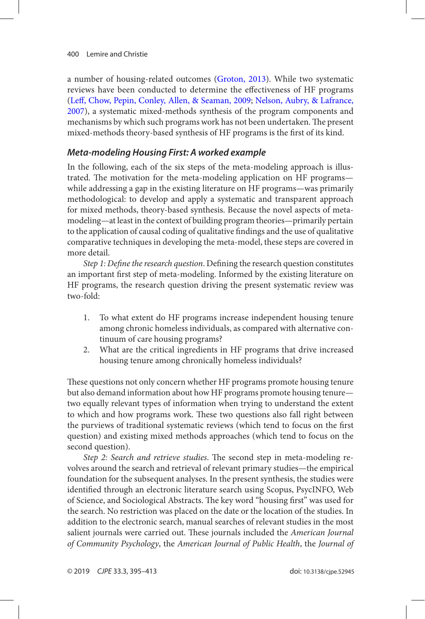<span id="page-5-0"></span>a number of housing-related outcomes ([Groton, 2013](#page-16-0)). While two systematic reviews have been conducted to determine the effectiveness of HF programs ([Leff, Chow, Pepin, Conley, Allen, & Seaman, 2009](#page-16-0); [Nelson, Aubry, & Lafrance,](#page-16-0) [2007](#page-16-0)), a systematic mixed-methods synthesis of the program components and mechanisms by which such programs work has not been undertaken. The present mixed-methods theory-based synthesis of HF programs is the first of its kind.

## *Meta-modeling Housing First: A worked example*

In the following, each of the six steps of the meta-modeling approach is illustrated. The motivation for the meta-modeling application on HF programs while addressing a gap in the existing literature on HF programs—was primarily methodological: to develop and apply a systematic and transparent approach for mixed methods, theory-based synthesis. Because the novel aspects of metamodeling—at least in the context of building program theories—primarily pertain to the application of causal coding of qualitative findings and the use of qualitative comparative techniques in developing the meta-model, these steps are covered in more detail.

*Step 1: Define the research question*. Defining the research question constitutes an important first step of meta-modeling. Informed by the existing literature on HF programs, the research question driving the present systematic review was two-fold:

- 1. To what extent do HF programs increase independent housing tenure among chronic homeless individuals, as compared with alternative continuum of care housing programs?
- 2. What are the critical ingredients in HF programs that drive increased housing tenure among chronically homeless individuals?

These questions not only concern whether HF programs promote housing tenure but also demand information about how HF programs promote housing tenure two equally relevant types of information when trying to understand the extent to which and how programs work. These two questions also fall right between the purviews of traditional systematic reviews (which tend to focus on the first question) and existing mixed methods approaches (which tend to focus on the second question).

*Step 2: Search and retrieve studies*. The second step in meta-modeling revolves around the search and retrieval of relevant primary studies—the empirical foundation for the subsequent analyses. In the present synthesis, the studies were identified through an electronic literature search using Scopus, PsycINFO, Web of Science, and Sociological Abstracts. The key word "housing first" was used for the search. No restriction was placed on the date or the location of the studies. In addition to the electronic search, manual searches of relevant studies in the most salient journals were carried out. These journals included the *American Journal of Community Psychology*, the *American Journal of Public Health*, the *Journal of*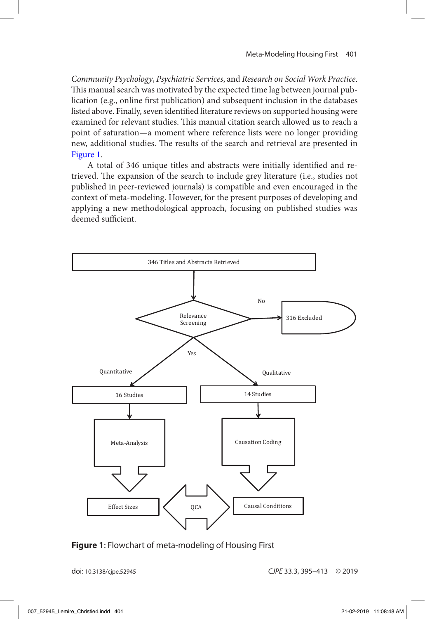*Community Psychology*, *Psychiatric Services*, and *Research on Social Work Practice*. This manual search was motivated by the expected time lag between journal publication (e.g., online first publication) and subsequent inclusion in the databases listed above. Finally, seven identified literature reviews on supported housing were examined for relevant studies. This manual citation search allowed us to reach a point of saturation—a moment where reference lists were no longer providing new, additional studies. The results of the search and retrieval are presented in Figure 1.

A total of 346 unique titles and abstracts were initially identified and retrieved. The expansion of the search to include grey literature (i.e., studies not published in peer-reviewed journals) is compatible and even encouraged in the context of meta-modeling. However, for the present purposes of developing and applying a new methodological approach, focusing on published studies was deemed sufficient.



**Figure 1**: Flowchart of meta-modeling of Housing First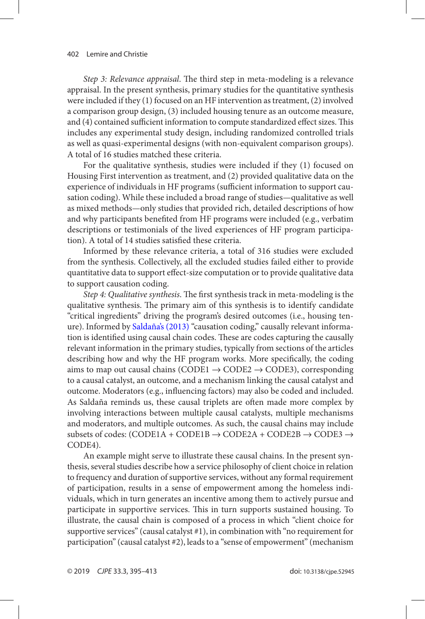<span id="page-7-0"></span>*Step 3: Relevance appraisal*. The third step in meta-modeling is a relevance appraisal. In the present synthesis, primary studies for the quantitative synthesis were included if they (1) focused on an HF intervention as treatment, (2) involved a comparison group design, (3) included housing tenure as an outcome measure, and (4) contained sufficient information to compute standardized effect sizes. This includes any experimental study design, including randomized controlled trials as well as quasi-experimental designs (with non-equivalent comparison groups). A total of 16 studies matched these criteria.

For the qualitative synthesis, studies were included if they (1) focused on Housing First intervention as treatment, and (2) provided qualitative data on the experience of individuals in HF programs (sufficient information to support causation coding). While these included a broad range of studies—qualitative as well as mixed methods—only studies that provided rich, detailed descriptions of how and why participants benefited from HF programs were included (e.g., verbatim descriptions or testimonials of the lived experiences of HF program participation). A total of 14 studies satisfied these criteria.

Informed by these relevance criteria, a total of 316 studies were excluded from the synthesis. Collectively, all the excluded studies failed either to provide quantitative data to support effect-size computation or to provide qualitative data to support causation coding.

*Step 4: Qualitative synthesis*. The first synthesis track in meta-modeling is the qualitative synthesis. The primary aim of this synthesis is to identify candidate "critical ingredients" driving the program's desired outcomes (i.e., housing tenure). Informed by [Saldaña's \(2013\)](#page-17-0) "causation coding," causally relevant information is identified using causal chain codes. These are codes capturing the causally relevant information in the primary studies, typically from sections of the articles describing how and why the HF program works. More specifically, the coding aims to map out causal chains (CODE1  $\rightarrow$  CODE2  $\rightarrow$  CODE3), corresponding to a causal catalyst, an outcome, and a mechanism linking the causal catalyst and outcome. Moderators (e.g., influencing factors) may also be coded and included. As Saldaña reminds us, these causal triplets are often made more complex by involving interactions between multiple causal catalysts, multiple mechanisms and moderators, and multiple outcomes. As such, the causal chains may include subsets of codes: (CODE1A + CODE1B  $\rightarrow$  CODE2A + CODE2B  $\rightarrow$  CODE3  $\rightarrow$ CODE4).

An example might serve to illustrate these causal chains. In the present synthesis, several studies describe how a service philosophy of client choice in relation to frequency and duration of supportive services, without any formal requirement of participation, results in a sense of empowerment among the homeless individuals, which in turn generates an incentive among them to actively pursue and participate in supportive services. This in turn supports sustained housing. To illustrate, the causal chain is composed of a process in which "client choice for supportive services" (causal catalyst #1), in combination with "no requirement for participation" (causal catalyst #2), leads to a "sense of empowerment" (mechanism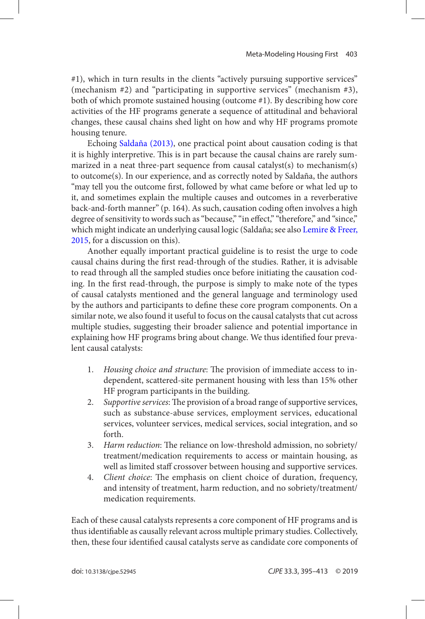<span id="page-8-0"></span>#1), which in turn results in the clients "actively pursuing supportive services" (mechanism #2) and "participating in supportive services" (mechanism #3), both of which promote sustained housing (outcome #1). By describing how core activities of the HF programs generate a sequence of attitudinal and behavioral changes, these causal chains shed light on how and why HF programs promote housing tenure.

Echoing [Saldaña \(2013\)](#page-17-0), one practical point about causation coding is that it is highly interpretive. This is in part because the causal chains are rarely summarized in a neat three-part sequence from causal catalyst(s) to mechanism(s) to outcome(s). In our experience, and as correctly noted by Saldaña, the authors "may tell you the outcome first, followed by what came before or what led up to it, and sometimes explain the multiple causes and outcomes in a reverberative back-and-forth manner" (p. 164). As such, causation coding often involves a high degree of sensitivity to words such as "because," "in effect," "therefore," and "since," which might indicate an underlying causal logic (Saldaña; see also [Lemire & Freer,](#page-16-0)  [2015](#page-16-0), for a discussion on this).

Another equally important practical guideline is to resist the urge to code causal chains during the first read-through of the studies. Rather, it is advisable to read through all the sampled studies once before initiating the causation coding. In the first read-through, the purpose is simply to make note of the types of causal catalysts mentioned and the general language and terminology used by the authors and participants to define these core program components. On a similar note, we also found it useful to focus on the causal catalysts that cut across multiple studies, suggesting their broader salience and potential importance in explaining how HF programs bring about change. We thus identified four prevalent causal catalysts:

- 1. *Housing choice and structure*: The provision of immediate access to independent, scattered-site permanent housing with less than 15% other HF program participants in the building.
- 2. *Supportive services*: The provision of a broad range of supportive services, such as substance-abuse services, employment services, educational services, volunteer services, medical services, social integration, and so forth.
- 3. *Harm reduction*: The reliance on low-threshold admission, no sobriety/ treatment/medication requirements to access or maintain housing, as well as limited staff crossover between housing and supportive services.
- 4. *Client choice*: The emphasis on client choice of duration, frequency, and intensity of treatment, harm reduction, and no sobriety/treatment/ medication requirements.

Each of these causal catalysts represents a core component of HF programs and is thus identifiable as causally relevant across multiple primary studies. Collectively, then, these four identified causal catalysts serve as candidate core components of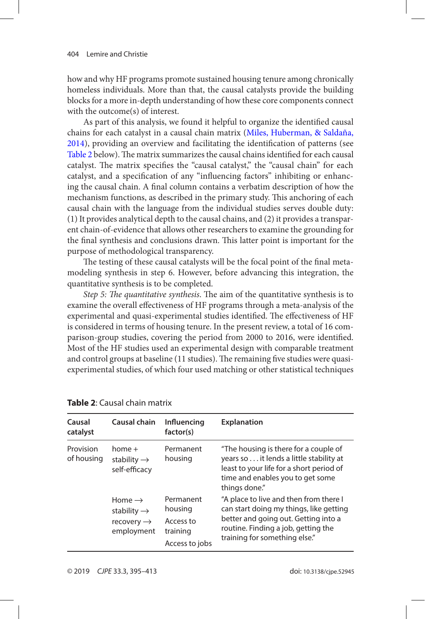<span id="page-9-0"></span>how and why HF programs promote sustained housing tenure among chronically homeless individuals. More than that, the causal catalysts provide the building blocks for a more in-depth understanding of how these core components connect with the outcome(s) of interest.

As part of this analysis, we found it helpful to organize the identified causal chains for each catalyst in a causal chain matrix ([Miles, Huberman, & Saldaña,](#page-16-0) [2014](#page-16-0)), providing an overview and facilitating the identification of patterns (see Table 2 below). The matrix summarizes the causal chains identified for each causal catalyst. The matrix specifies the "causal catalyst," the "causal chain" for each catalyst, and a specification of any "influencing factors" inhibiting or enhancing the causal chain. A final column contains a verbatim description of how the mechanism functions, as described in the primary study. This anchoring of each causal chain with the language from the individual studies serves double duty: (1) It provides analytical depth to the causal chains, and (2) it provides a transparent chain-of-evidence that allows other researchers to examine the grounding for the final synthesis and conclusions drawn. This latter point is important for the purpose of methodological transparency.

The testing of these causal catalysts will be the focal point of the final metamodeling synthesis in step 6. However, before advancing this integration, the quantitative synthesis is to be completed.

*Step 5: The quantitative synthesis*. The aim of the quantitative synthesis is to examine the overall effectiveness of HF programs through a meta-analysis of the experimental and quasi-experimental studies identified. The effectiveness of HF is considered in terms of housing tenure. In the present review, a total of 16 comparison-group studies, covering the period from 2000 to 2016, were identified. Most of the HF studies used an experimental design with comparable treatment and control groups at baseline (11 studies). The remaining five studies were quasiexperimental studies, of which four used matching or other statistical techniques

| Causal<br>catalyst      | Causal chain                                                                          | Influencing<br>factor(s)                                        | <b>Explanation</b>                                                                                                                                                                                |
|-------------------------|---------------------------------------------------------------------------------------|-----------------------------------------------------------------|---------------------------------------------------------------------------------------------------------------------------------------------------------------------------------------------------|
| Provision<br>of housing | $home +$<br>stability $\rightarrow$<br>self-efficacy                                  | Permanent<br>housing                                            | "The housing is there for a couple of<br>years so it lends a little stability at<br>least to your life for a short period of<br>time and enables you to get some<br>things done."                 |
|                         | Home $\rightarrow$<br>stability $\rightarrow$<br>recovery $\rightarrow$<br>employment | Permanent<br>housing<br>Access to<br>training<br>Access to jobs | "A place to live and then from there I<br>can start doing my things, like getting<br>better and going out. Getting into a<br>routine. Finding a job, getting the<br>training for something else." |

**Table 2**: Causal chain matrix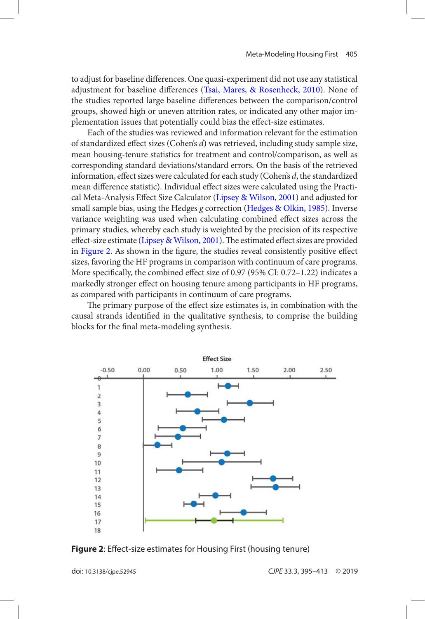<span id="page-10-0"></span>to adjust for baseline differences. One quasi-experiment did not use any statistical adjustment for baseline differences ([Tsai, Mares, & Rosenheck, 2010](#page-17-0)). None of the studies reported large baseline differences between the comparison/control groups, showed high or uneven attrition rates, or indicated any other major implementation issues that potentially could bias the effect-size estimates.

Each of the studies was reviewed and information relevant for the estimation of standardized effect sizes (Cohen's *d*) was retrieved, including study sample size, mean housing-tenure statistics for treatment and control/comparison, as well as corresponding standard deviations/standard errors. On the basis of the retrieved information, effect sizes were calculated for each study (Cohen's *d*, the standardized mean difference statistic). Individual effect sizes were calculated using the Practical Meta-Analysis Effect Size Calculator ([Lipsey & Wilson, 2001](#page-16-0)) and adjusted for small sample bias, using the Hedges *g* correction [\(Hedges & Olkin, 1985](#page-16-0)). Inverse variance weighting was used when calculating combined effect sizes across the primary studies, whereby each study is weighted by the precision of its respective effect-size estimate [\(Lipsey & Wilson, 2001](#page-16-0)). The estimated effect sizes are provided in Figure 2. As shown in the figure, the studies reveal consistently positive effect sizes, favoring the HF programs in comparison with continuum of care programs. More specifically, the combined effect size of 0.97 (95% CI: 0.72–1.22) indicates a markedly stronger effect on housing tenure among participants in HF programs, as compared with participants in continuum of care programs.

The primary purpose of the effect size estimates is, in combination with the causal strands identified in the qualitative synthesis, to comprise the building blocks for the final meta-modeling synthesis.



**figure 2**: Effect-size estimates for Housing First (housing tenure)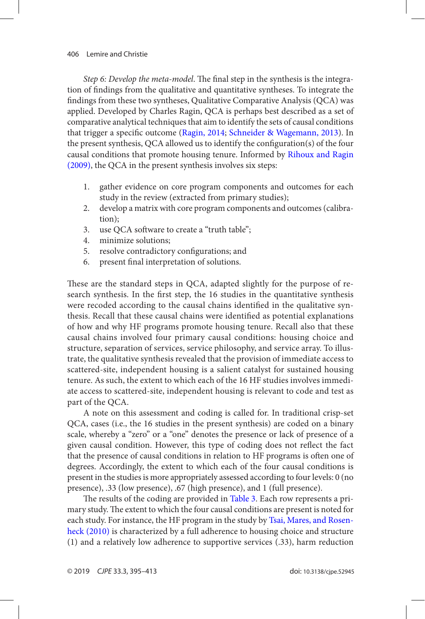<span id="page-11-0"></span>*Step 6: Develop the meta-model*. The final step in the synthesis is the integration of findings from the qualitative and quantitative syntheses. To integrate the findings from these two syntheses, Qualitative Comparative Analysis (QCA) was applied. Developed by Charles Ragin, QCA is perhaps best described as a set of comparative analytical techniques that aim to identify the sets of causal conditions that trigger a specific outcome ([Ragin, 2014](#page-17-0); [Schneider & Wagemann, 2013](#page-17-0)). In the present synthesis, QCA allowed us to identify the configuration(s) of the four causal conditions that promote housing tenure. Informed by [Rihoux and Ragin](#page-17-0)  [\(2009\)](#page-17-0), the QCA in the present synthesis involves six steps:

- 1. gather evidence on core program components and outcomes for each study in the review (extracted from primary studies);
- 2. develop a matrix with core program components and outcomes (calibration);
- 3. use OCA software to create a "truth table";
- 4. minimize solutions;
- 5. resolve contradictory configurations; and
- 6. present final interpretation of solutions.

These are the standard steps in QCA, adapted slightly for the purpose of research synthesis. In the first step, the 16 studies in the quantitative synthesis were recoded according to the causal chains identified in the qualitative synthesis. Recall that these causal chains were identified as potential explanations of how and why HF programs promote housing tenure. Recall also that these causal chains involved four primary causal conditions: housing choice and structure, separation of services, service philosophy, and service array. To illustrate, the qualitative synthesis revealed that the provision of immediate access to scattered-site, independent housing is a salient catalyst for sustained housing tenure. As such, the extent to which each of the 16 HF studies involves immediate access to scattered-site, independent housing is relevant to code and test as part of the QCA.

A note on this assessment and coding is called for. In traditional crisp-set QCA, cases (i.e., the 16 studies in the present synthesis) are coded on a binary scale, whereby a "zero" or a "one" denotes the presence or lack of presence of a given causal condition. However, this type of coding does not reflect the fact that the presence of causal conditions in relation to HF programs is often one of degrees. Accordingly, the extent to which each of the four causal conditions is present in the studies is more appropriately assessed according to four levels: 0 (no presence), .33 (low presence), .67 (high presence), and 1 (full presence).

The results of the coding are provided in [Table 3](#page-12-0). Each row represents a primary study. The extent to which the four causal conditions are present is noted for each study. For instance, the HF program in the study by [Tsai, Mares, and Rosen](#page-17-0)[heck \(2010\)](#page-17-0) is characterized by a full adherence to housing choice and structure (1) and a relatively low adherence to supportive services (.33), harm reduction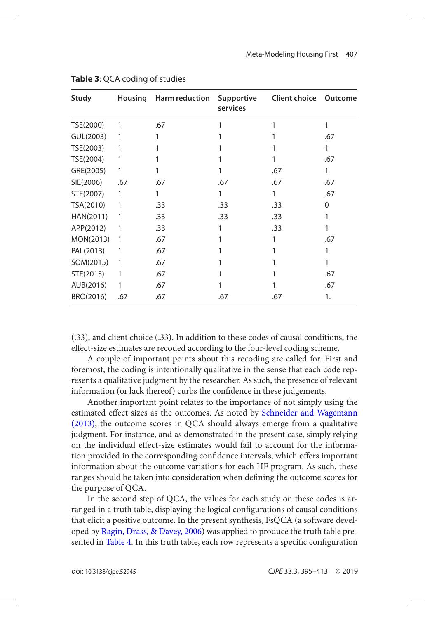| Study     | <b>Housing</b> | <b>Harm reduction</b> | Supportive<br>services | <b>Client choice</b> | Outcome |
|-----------|----------------|-----------------------|------------------------|----------------------|---------|
| TSE(2000) | 1              | .67                   |                        |                      | 1       |
| GUL(2003) | 1              |                       |                        |                      | .67     |
| TSE(2003) |                |                       |                        |                      | 1       |
| TSE(2004) |                |                       |                        |                      | .67     |
| GRE(2005) | 1              |                       |                        | .67                  | 1       |
| SIE(2006) | .67            | .67                   | .67                    | .67                  | .67     |
| STE(2007) | 1              | 1                     |                        |                      | .67     |
| TSA(2010) | 1              | .33                   | .33                    | .33                  | 0       |
| HAN(2011) | 1              | .33                   | .33                    | .33                  |         |
| APP(2012) | 1              | .33                   |                        | .33                  |         |
| MON(2013) | 1              | .67                   |                        |                      | .67     |
| PAL(2013) | 1              | .67                   |                        |                      |         |
| SOM(2015) | 1              | .67                   |                        |                      |         |
| STE(2015) | 1              | .67                   |                        |                      | .67     |
| AUB(2016) | 1              | .67                   |                        |                      | .67     |
| BRO(2016) | .67            | .67                   | .67                    | .67                  | 1.      |

#### <span id="page-12-0"></span>**Table 3**: QCA coding of studies

(.33), and client choice (.33). In addition to these codes of causal conditions, the effect-size estimates are recoded according to the four-level coding scheme.

A couple of important points about this recoding are called for. First and foremost, the coding is intentionally qualitative in the sense that each code represents a qualitative judgment by the researcher. As such, the presence of relevant information (or lack thereof) curbs the confidence in these judgements.

Another important point relates to the importance of not simply using the estimated effect sizes as the outcomes. As noted by [Schneider and Wagemann](#page-17-0) [\(2013\)](#page-17-0), the outcome scores in QCA should always emerge from a qualitative judgment. For instance, and as demonstrated in the present case, simply relying on the individual effect-size estimates would fail to account for the information provided in the corresponding confidence intervals, which offers important information about the outcome variations for each HF program. As such, these ranges should be taken into consideration when defining the outcome scores for the purpose of QCA.

In the second step of QCA, the values for each study on these codes is arranged in a truth table, displaying the logical configurations of causal conditions that elicit a positive outcome. In the present synthesis, FsQCA (a software developed by [Ragin, Drass, & Davey, 2006](#page-17-0)) was applied to produce the truth table presented in [Table 4](#page-13-0). In this truth table, each row represents a specific configuration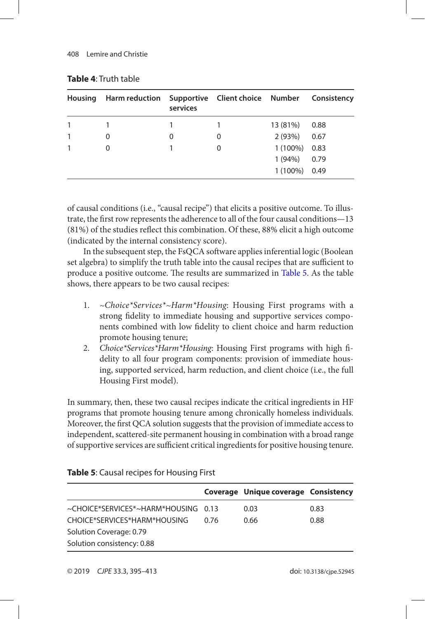| <b>Housing</b> | <b>Harm reduction</b> | services | Supportive Client choice Number |                 | Consistency |
|----------------|-----------------------|----------|---------------------------------|-----------------|-------------|
|                |                       |          |                                 | 13 (81%)        | 0.88        |
|                | 0                     | 0        | 0                               | 2(93%)          | 0.67        |
|                | 0                     |          | 0                               | $1(100\%)$ 0.83 |             |
|                |                       |          |                                 | 1(94%)          | 0.79        |
|                |                       |          |                                 | 1 (100%) 0.49   |             |

### <span id="page-13-0"></span>**Table 4**: Truth table

of causal conditions (i.e., "causal recipe") that elicits a positive outcome. To illustrate, the first row represents the adherence to all of the four causal conditions—13 (81%) of the studies reflect this combination. Of these, 88% elicit a high outcome (indicated by the internal consistency score).

In the subsequent step, the FsQCA software applies inferential logic (Boolean set algebra) to simplify the truth table into the causal recipes that are sufficient to produce a positive outcome. The results are summarized in Table 5. As the table shows, there appears to be two causal recipes:

- 1. *~Choice\*Services\*~Harm\*Housing*: Housing First programs with a strong fidelity to immediate housing and supportive services components combined with low fidelity to client choice and harm reduction promote housing tenure;
- 2. *Choice\*Services\*Harm\*Housing*: Housing First programs with high fidelity to all four program components: provision of immediate housing, supported serviced, harm reduction, and client choice (i.e., the full Housing First model).

In summary, then, these two causal recipes indicate the critical ingredients in HF programs that promote housing tenure among chronically homeless individuals. Moreover, the first QCA solution suggests that the provision of immediate access to independent, scattered-site permanent housing in combination with a broad range of supportive services are sufficient critical ingredients for positive housing tenure.

|                                     |      | Coverage Unique coverage Consistency |      |
|-------------------------------------|------|--------------------------------------|------|
| ~CHOICE*SERVICES*~HARM*HOUSING 0.13 |      | 0.03                                 | 0.83 |
| CHOICE*SERVICES*HARM*HOUSING        | በ 76 | 0.66                                 | 0.88 |
| Solution Coverage: 0.79             |      |                                      |      |
| Solution consistency: 0.88          |      |                                      |      |

### **Table 5**: Causal recipes for Housing First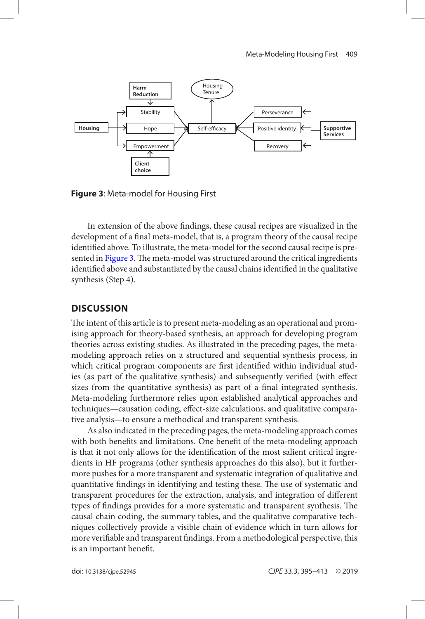

**figure 3**: Meta-model for Housing First

In extension of the above findings, these causal recipes are visualized in the development of a final meta-model, that is, a program theory of the causal recipe identified above. To illustrate, the meta-model for the second causal recipe is presented in Figure 3. The meta-model was structured around the critical ingredients identified above and substantiated by the causal chains identified in the qualitative synthesis (Step 4).

### **discussion**

The intent of this article is to present meta-modeling as an operational and promising approach for theory-based synthesis, an approach for developing program theories across existing studies. As illustrated in the preceding pages, the metamodeling approach relies on a structured and sequential synthesis process, in which critical program components are first identified within individual studies (as part of the qualitative synthesis) and subsequently verified (with effect sizes from the quantitative synthesis) as part of a final integrated synthesis. Meta-modeling furthermore relies upon established analytical approaches and techniques—causation coding, effect-size calculations, and qualitative comparative analysis—to ensure a methodical and transparent synthesis.

As also indicated in the preceding pages, the meta-modeling approach comes with both benefits and limitations. One benefit of the meta-modeling approach is that it not only allows for the identification of the most salient critical ingredients in HF programs (other synthesis approaches do this also), but it furthermore pushes for a more transparent and systematic integration of qualitative and quantitative findings in identifying and testing these. The use of systematic and transparent procedures for the extraction, analysis, and integration of different types of findings provides for a more systematic and transparent synthesis. The causal chain coding, the summary tables, and the qualitative comparative techniques collectively provide a visible chain of evidence which in turn allows for more verifiable and transparent findings. From a methodological perspective, this is an important benefit.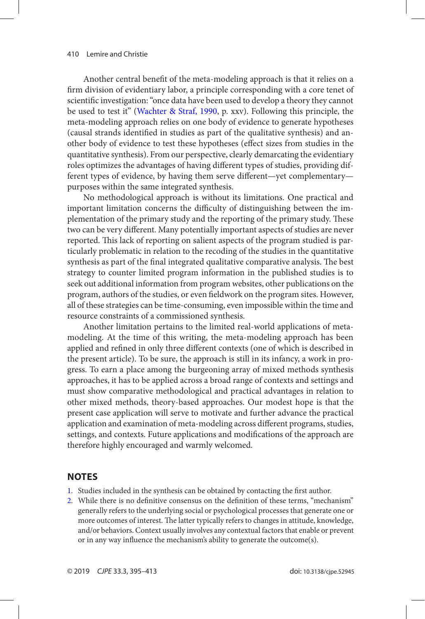<span id="page-15-0"></span>Another central benefit of the meta-modeling approach is that it relies on a firm division of evidentiary labor, a principle corresponding with a core tenet of scientific investigation: "once data have been used to develop a theory they cannot be used to test it" ([Wachter & Straf, 1990](#page-18-0), p. xxv). Following this principle, the meta-modeling approach relies on one body of evidence to generate hypotheses (causal strands identified in studies as part of the qualitative synthesis) and another body of evidence to test these hypotheses (effect sizes from studies in the quantitative synthesis). From our perspective, clearly demarcating the evidentiary roles optimizes the advantages of having different types of studies, providing different types of evidence, by having them serve different—yet complementary purposes within the same integrated synthesis.

No methodological approach is without its limitations. One practical and important limitation concerns the difficulty of distinguishing between the implementation of the primary study and the reporting of the primary study. These two can be very different. Many potentially important aspects of studies are never reported. This lack of reporting on salient aspects of the program studied is particularly problematic in relation to the recoding of the studies in the quantitative synthesis as part of the final integrated qualitative comparative analysis. The best strategy to counter limited program information in the published studies is to seek out additional information from program websites, other publications on the program, authors of the studies, or even fieldwork on the program sites. However, all of these strategies can be time-consuming, even impossible within the time and resource constraints of a commissioned synthesis.

Another limitation pertains to the limited real-world applications of metamodeling. At the time of this writing, the meta-modeling approach has been applied and refined in only three different contexts (one of which is described in the present article). To be sure, the approach is still in its infancy, a work in progress. To earn a place among the burgeoning array of mixed methods synthesis approaches, it has to be applied across a broad range of contexts and settings and must show comparative methodological and practical advantages in relation to other mixed methods, theory-based approaches. Our modest hope is that the present case application will serve to motivate and further advance the practical application and examination of meta-modeling across different programs, studies, settings, and contexts. Future applications and modifications of the approach are therefore highly encouraged and warmly welcomed.

## **noTes**

- [1](#page-1-0). Studies included in the synthesis can be obtained by contacting the first author.
- [2](#page-2-0). While there is no definitive consensus on the definition of these terms, "mechanism" generally refers to the underlying social or psychological processes that generate one or more outcomes of interest. The latter typically refers to changes in attitude, knowledge, and/or behaviors. Context usually involves any contextual factors that enable or prevent or in any way influence the mechanism's ability to generate the outcome(s).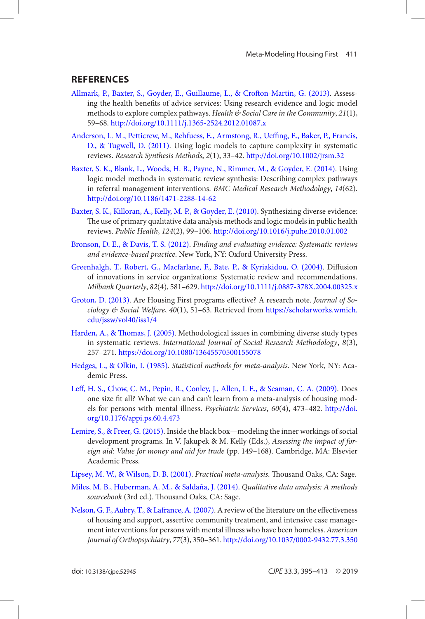### <span id="page-16-0"></span>**references**

- [Allmark, P., Baxter, S., Goyder, E., Guillaume, L., & Crofton-Martin, G. \(2013\)](#page-2-0). Assessing the health benefits of advice services: Using research evidence and logic model methods to explore complex pathways. *Health & Social Care in the Community*, *21*(1), 59–68. <http://doi.org/10.1111/j.1365-2524.2012.01087.x>
- [Anderson, L. M., Petticrew, M., Rehfuess, E., Armstong, R., Ueffing, E., Baker, P., Francis,](#page-2-0) [D., & Tugwell, D. \(2011\)](#page-2-0). Using logic models to capture complexity in systematic reviews. *Research Synthesis Methods*, *2*(1), 33–42. <http://doi.org/10.1002/jrsm.32>
- [Baxter, S. K., Blank, L., Woods, H. B., Payne, N., Rimmer, M., & Goyder, E. \(2014\)](#page-2-0). Using logic model methods in systematic review synthesis: Describing complex pathways in referral management interventions. *BMC Medical Research Methodology*, *14*(62). <http://doi.org/10.1186/1471-2288-14-62>
- [Baxter, S. K., Killoran, A., Kelly, M. P., & Goyder, E. \(2010\)](#page-2-0). Synthesizing diverse evidence: The use of primary qualitative data analysis methods and logic models in public health reviews. *Public Health*, *124*(2), 99–106.<http://doi.org/10.1016/j.puhe.2010.01.002>
- [Bronson, D. E., & Davis, T. S. \(2012\)](#page-0-0). *Finding and evaluating evidence: Systematic reviews and evidence-based practice*. New York, NY: Oxford University Press.
- [Greenhalgh, T., Robert, G., Macfarlane, F., Bate, P., & Kyriakidou, O. \(2004\)](#page-3-0). Diffusion of innovations in service organizations: Systematic review and recommendations. *Milbank Quarterly*, *82*(4), 581–629.<http://doi.org/10.1111/j.0887-378X.2004.00325.x>
- [Groton, D. \(2013\)](#page-4-0). Are Housing First programs effective? A research note. *Journal of Sociology & Social Welfare*, *40*(1), 51–63. Retrieved from [https://scholarworks.wmich.](https://scholarworks.wmich.edu/jssw/vol40/iss1/4)  [edu/jssw/vol40/iss1/4](https://scholarworks.wmich.edu/jssw/vol40/iss1/4)
- [Harden, A., & Thomas, J. \(2005\).](#page-1-0) Methodological issues in combining diverse study types in systematic reviews. *International Journal of Social Research Methodology*, *8*(3), 257–271.<https://doi.org/10.1080/13645570500155078>
- [Hedges, L., & Olkin, I. \(1985\).](#page-10-0) *Statistical methods for meta-analysis*. New York, NY: Academic Press.
- [Leff, H. S., Chow, C. M., Pepin, R., Conley, J., Allen, I. E., & Seaman, C. A. \(2009\)](#page-5-0). Does one size fit all? What we can and can't learn from a meta-analysis of housing models for persons with mental illness. *Psychiatric Services*, *60*(4), 473–482. [http://doi.](http://doi.org/10.1176/appi.ps.60.4.473) [org/10.1176/appi.ps.60.4.473](http://doi.org/10.1176/appi.ps.60.4.473)
- [Lemire, S., & Freer, G. \(2015\)](#page-8-0). Inside the black box—modeling the inner workings of social development programs. In V. Jakupek & M. Kelly (Eds.), *Assessing the impact of foreign aid: Value for money and aid for trade* (pp. 149–168). Cambridge, MA: Elsevier Academic Press.
- [Lipsey, M. W., & Wilson, D. B. \(2001\)](#page-10-0). *Practical meta-analysis*. Thousand Oaks, CA: Sage.
- [Miles, M. B., Huberman, A. M., & Saldaña, J. \(2014\).](#page-9-0) *Qualitative data analysis: A methods sourcebook* (3rd ed.). Thousand Oaks, CA: Sage.
- [Nelson, G. F., Aubry, T., & Lafrance, A. \(2007\)](#page-5-0). A review of the literature on the effectiveness of housing and support, assertive community treatment, and intensive case management interventions for persons with mental illness who have been homeless. *American Journal of Orthopsychiatry*, *77*(3), 350–361.<http://doi.org/10.1037/0002-9432.77.3.350>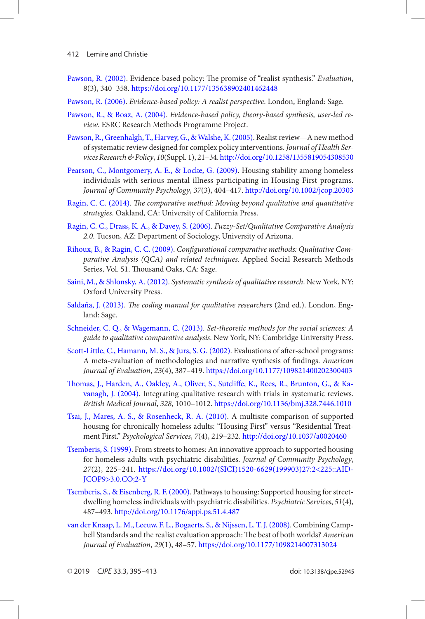- <span id="page-17-0"></span>[Pawson, R. \(2002\)](#page-1-0). Evidence-based policy: The promise of "realist synthesis." *Evaluation*, *8*(3), 340–358.<https://doi.org/10.1177/135638902401462448>
- [Pawson, R. \(2006\)](#page-1-0). *Evidence-based policy: A realist perspective*. London, England: Sage.
- [Pawson, R., & Boaz, A. \(2004\).](#page-2-0) *Evidence-based policy, theory-based synthesis, user-led review*. ESRC Research Methods Programme Project.
- [Pawson, R., Greenhalgh, T., Harvey, G., & Walshe, K. \(2005\)](#page-2-0). Realist review—A new method of systematic review designed for complex policy interventions. *Journal of Health Services Research & Policy*, *10*(Suppl. 1), 21–34.<http://doi.org/10.1258/1355819054308530>
- [Pearson, C., Montgomery, A. E., & Locke, G. \(2009\)](#page-4-0). Housing stability among homeless individuals with serious mental illness participating in Housing First programs. *Journal of Community Psychology*, *37*(3), 404–417.<http://doi.org/10.1002/jcop.20303>
- [Ragin, C. C. \(2014\)](#page-11-0). *The comparative method: Moving beyond qualitative and quantitative strategies*. Oakland, CA: University of California Press.
- [Ragin, C. C., Drass, K. A., & Davey, S. \(2006\)](#page-12-0). *Fuzzy-Set/Qualitative Comparative Analysis 2.0*. Tucson, AZ: Department of Sociology, University of Arizona.
- [Rihoux, B., & Ragin, C. C. \(2009\)](#page-11-0). *Configurational comparative methods: Qualitative Comparative Analysis (QCA) and related techniques*. Applied Social Research Methods Series, Vol. 51. Thousand Oaks, CA: Sage.
- [Saini, M., & Shlonsky, A. \(2012\)](#page-0-0). *Systematic synthesis of qualitative research*. New York, NY: Oxford University Press.
- [Saldaña, J. \(2013\)](#page-7-0). *The coding manual for qualitative researchers* (2nd ed.). London, England: Sage.
- [Schneider, C. Q., & Wagemann, C. \(2013\)](#page-11-0). *Set-theoretic methods for the social sciences: A guide to qualitative comparative analysis*. New York, NY: Cambridge University Press.
- [Scott-Little, C., Hamann, M. S., & Jurs, S. G. \(2002\)](#page-1-0). Evaluations of after-school programs: A meta-evaluation of methodologies and narrative synthesis of findings. *American Journal of Evaluation*, *23*(4), 387–419.<https://doi.org/10.1177/109821400202300403>
- [Thomas, J., Harden, A., Oakley, A., Oliver, S., Sutcliffe, K., Rees, R., Brunton, G., & Ka](#page-2-0)[vanagh, J. \(2004\)](#page-2-0). Integrating qualitative research with trials in systematic reviews. *British Medical Journal*, *328*, 1010–1012. <https://doi.org/10.1136/bmj.328.7446.1010>
- [Tsai, J., Mares, A. S., & Rosenheck, R. A. \(2010\)](#page-10-0). A multisite comparison of supported housing for chronically homeless adults: "Housing First" versus "Residential Treatment First." *Psychological Services*, *7*(4), 219–232.<http://doi.org/10.1037/a0020460>
- [Tsemberis, S. \(1999\).](#page-4-0) From streets to homes: An innovative approach to supported housing for homeless adults with psychiatric disabilities. *Journal of Community Psychology*, *27*(2), 225–241. [https://doi.org/10.1002/\(SICI\)1520-6629\(199903\)27:2<225::AID-](https://doi.org/10.1002/(SICI)1520-6629(199903)27:2<225::AID-JCOP9>3.0.CO;2-Y)[JCOP9>3.0.CO;2-Y](https://doi.org/10.1002/(SICI)1520-6629(199903)27:2<225::AID-JCOP9>3.0.CO;2-Y)
- [Tsemberis, S., & Eisenberg, R. F. \(2000\)](#page-4-0). Pathways to housing: Supported housing for streetdwelling homeless individuals with psychiatric disabilities. *Psychiatric Services*, *51*(4), 487–493.<http://doi.org/10.1176/appi.ps.51.4.487>
- [van der Knaap, L. M., Leeuw, F. L., Bogaerts, S., & Nijssen, L. T. J. \(2008\)](#page-1-0). Combining Campbell Standards and the realist evaluation approach: The best of both worlds? *American Journal of Evaluation*, *29*(1), 48–57. <https://doi.org/10.1177/1098214007313024>